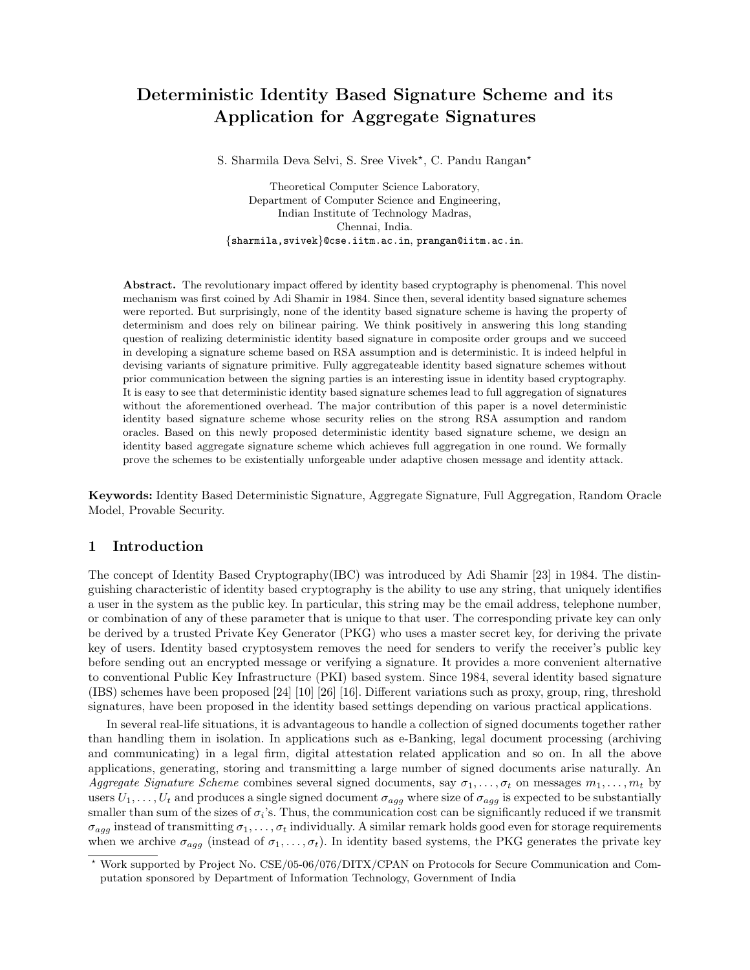# Deterministic Identity Based Signature Scheme and its Application for Aggregate Signatures

S. Sharmila Deva Selvi, S. Sree Vivek\*, C. Pandu Rangan\*

Theoretical Computer Science Laboratory, Department of Computer Science and Engineering, Indian Institute of Technology Madras, Chennai, India. {sharmila,svivek}@cse.iitm.ac.in, prangan@iitm.ac.in.

Abstract. The revolutionary impact offered by identity based cryptography is phenomenal. This novel mechanism was first coined by Adi Shamir in 1984. Since then, several identity based signature schemes were reported. But surprisingly, none of the identity based signature scheme is having the property of determinism and does rely on bilinear pairing. We think positively in answering this long standing question of realizing deterministic identity based signature in composite order groups and we succeed in developing a signature scheme based on RSA assumption and is deterministic. It is indeed helpful in devising variants of signature primitive. Fully aggregateable identity based signature schemes without prior communication between the signing parties is an interesting issue in identity based cryptography. It is easy to see that deterministic identity based signature schemes lead to full aggregation of signatures without the aforementioned overhead. The major contribution of this paper is a novel deterministic identity based signature scheme whose security relies on the strong RSA assumption and random oracles. Based on this newly proposed deterministic identity based signature scheme, we design an identity based aggregate signature scheme which achieves full aggregation in one round. We formally prove the schemes to be existentially unforgeable under adaptive chosen message and identity attack.

Keywords: Identity Based Deterministic Signature, Aggregate Signature, Full Aggregation, Random Oracle Model, Provable Security.

# 1 Introduction

The concept of Identity Based Cryptography(IBC) was introduced by Adi Shamir [23] in 1984. The distinguishing characteristic of identity based cryptography is the ability to use any string, that uniquely identifies a user in the system as the public key. In particular, this string may be the email address, telephone number, or combination of any of these parameter that is unique to that user. The corresponding private key can only be derived by a trusted Private Key Generator (PKG) who uses a master secret key, for deriving the private key of users. Identity based cryptosystem removes the need for senders to verify the receiver's public key before sending out an encrypted message or verifying a signature. It provides a more convenient alternative to conventional Public Key Infrastructure (PKI) based system. Since 1984, several identity based signature (IBS) schemes have been proposed [24] [10] [26] [16]. Different variations such as proxy, group, ring, threshold signatures, have been proposed in the identity based settings depending on various practical applications.

In several real-life situations, it is advantageous to handle a collection of signed documents together rather than handling them in isolation. In applications such as e-Banking, legal document processing (archiving and communicating) in a legal firm, digital attestation related application and so on. In all the above applications, generating, storing and transmitting a large number of signed documents arise naturally. An *Aggregate Signature Scheme* combines several signed documents, say  $\sigma_1, \ldots, \sigma_t$  on messages  $m_1, \ldots, m_t$  by users  $U_1, \ldots, U_t$  and produces a single signed document  $\sigma_{agg}$  where size of  $\sigma_{agg}$  is expected to be substantially smaller than sum of the sizes of  $\sigma_i$ 's. Thus, the communication cost can be significantly reduced if we transmit  $\sigma_{agg}$  instead of transmitting  $\sigma_1, \ldots, \sigma_t$  individually. A similar remark holds good even for storage requirements when we archive  $\sigma_{agg}$  (instead of  $\sigma_1, \ldots, \sigma_t$ ). In identity based systems, the PKG generates the private key

<sup>!</sup> Work supported by Project No. CSE/05-06/076/DITX/CPAN on Protocols for Secure Communication and Computation sponsored by Department of Information Technology, Government of India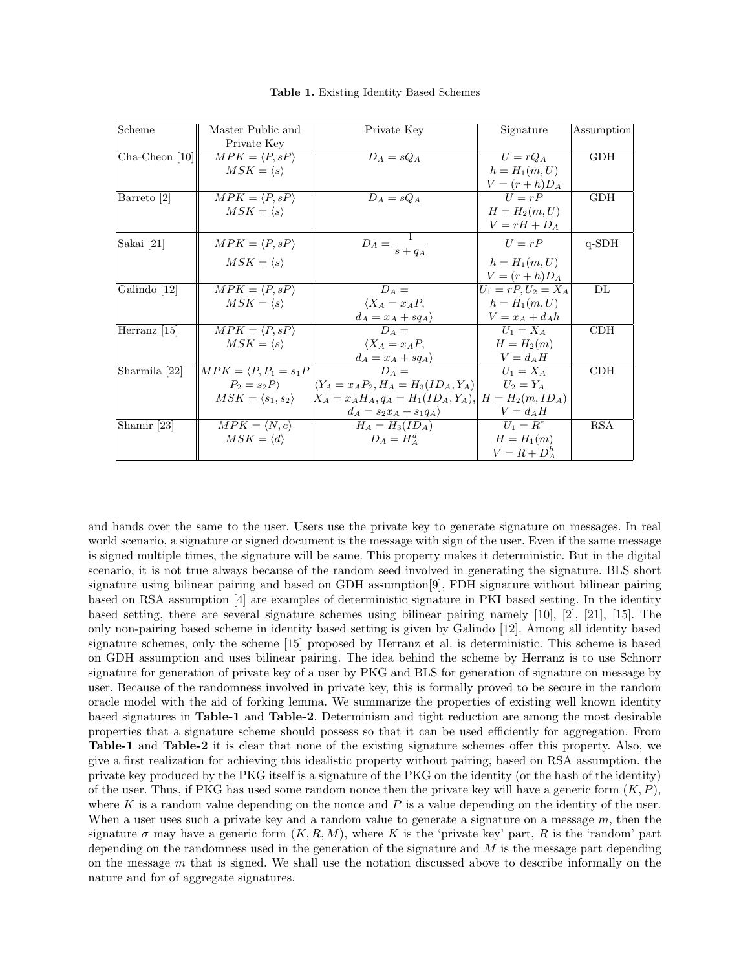| Scheme           | Master Public and                      | Private Key                                             | Signature             | Assumption |
|------------------|----------------------------------------|---------------------------------------------------------|-----------------------|------------|
|                  | Private Key                            |                                                         |                       |            |
| $Cha-Cheon$ [10] | $MPK = \langle P, sP \rangle$          | $D_A = sQ_A$                                            | $U = rQ_A$            | <b>GDH</b> |
|                  | $MSK = \langle s \rangle$              |                                                         | $h = H_1(m, U)$       |            |
|                  |                                        |                                                         | $V = (r+h)D_A$        |            |
| Barreto [2]      | $MPK = \langle P, sP \rangle$          | $D_A = sQ_A$                                            | $U = rP$              | <b>GDH</b> |
|                  | $MSK = \langle s \rangle$              |                                                         | $H = H_2(m, U)$       |            |
|                  |                                        |                                                         | $V = rH + D_A$        |            |
| Sakai [21]       | $MPK = \langle P, sP \rangle$          | $D_A = \frac{1}{s + q_A}$                               | $U = rP$              | $q$ -SDH   |
|                  | $MSK = \langle s \rangle$              |                                                         | $h = H_1(m, U)$       |            |
|                  |                                        |                                                         | $V = (r+h)D_A$        |            |
| Galindo [12]     | $MPK = \langle P, sP \rangle$          | $D_A =$                                                 | $U_1 = rP, U_2 = X_A$ | DL         |
|                  | $MSK = \langle s \rangle$              | $\langle X_A = x_A P,$                                  | $h = H_1(m, U)$       |            |
|                  |                                        | $d_A = x_A + sq_A$                                      | $V = x_A + d_A h$     |            |
| Herranz $[15]$   | $MPK = \langle P, sP \rangle$          | $D_A =$                                                 | $U_1 = X_A$           | CDH        |
|                  | $MSK = \langle s \rangle$              | $\langle X_A = x_A P,$                                  | $H = H_2(m)$          |            |
|                  |                                        | $d_A = x_A + sq_A$                                      | $V = d_A H$           |            |
| Sharmila [22]    | $MPK = \langle P, P_1 = s_1 P \rangle$ | $D_A =$                                                 | $U_1 = X_A$           | CDH        |
|                  | $P_2 = s_2 P$                          | $\langle Y_A = x_A P_2, H_A = H_3(ID_A, Y_A)]$          | $U_2=Y_A$             |            |
|                  | $MSK = \langle s_1, s_2 \rangle$       | $X_A = x_A H_A, q_A = H_1(ID_A, Y_A), H = H_2(m, ID_A)$ |                       |            |
|                  |                                        | $d_A = s_2 x_A + s_1 q_A$                               | $V = d_A H$           |            |
| Shamir [23]      | $MPK = \langle N, e \rangle$           | $H_A = H_3(ID_A)$                                       | $U_1 = R^e$           | <b>RSA</b> |
|                  | $MSK = \langle d \rangle$              | $D_A = H_A^d$                                           | $H = H_1(m)$          |            |
|                  |                                        |                                                         | $V = R + D_A^h$       |            |

Table 1. Existing Identity Based Schemes

and hands over the same to the user. Users use the private key to generate signature on messages. In real world scenario, a signature or signed document is the message with sign of the user. Even if the same message is signed multiple times, the signature will be same. This property makes it deterministic. But in the digital scenario, it is not true always because of the random seed involved in generating the signature. BLS short signature using bilinear pairing and based on GDH assumption[9], FDH signature without bilinear pairing based on RSA assumption [4] are examples of deterministic signature in PKI based setting. In the identity based setting, there are several signature schemes using bilinear pairing namely [10], [2], [21], [15]. The only non-pairing based scheme in identity based setting is given by Galindo [12]. Among all identity based signature schemes, only the scheme [15] proposed by Herranz et al. is deterministic. This scheme is based on GDH assumption and uses bilinear pairing. The idea behind the scheme by Herranz is to use Schnorr signature for generation of private key of a user by PKG and BLS for generation of signature on message by user. Because of the randomness involved in private key, this is formally proved to be secure in the random oracle model with the aid of forking lemma. We summarize the properties of existing well known identity based signatures in Table-1 and Table-2. Determinism and tight reduction are among the most desirable properties that a signature scheme should possess so that it can be used efficiently for aggregation. From Table-1 and Table-2 it is clear that none of the existing signature schemes offer this property. Also, we give a first realization for achieving this idealistic property without pairing, based on RSA assumption. the private key produced by the PKG itself is a signature of the PKG on the identity (or the hash of the identity) of the user. Thus, if PKG has used some random nonce then the private key will have a generic form  $(K, P)$ , where K is a random value depending on the nonce and P is a value depending on the identity of the user. When a user uses such a private key and a random value to generate a signature on a message  $m$ , then the signature  $\sigma$  may have a generic form  $(K, R, M)$ , where K is the 'private key' part, R is the 'random' part depending on the randomness used in the generation of the signature and  $M$  is the message part depending on the message  $m$  that is signed. We shall use the notation discussed above to describe informally on the nature and for of aggregate signatures.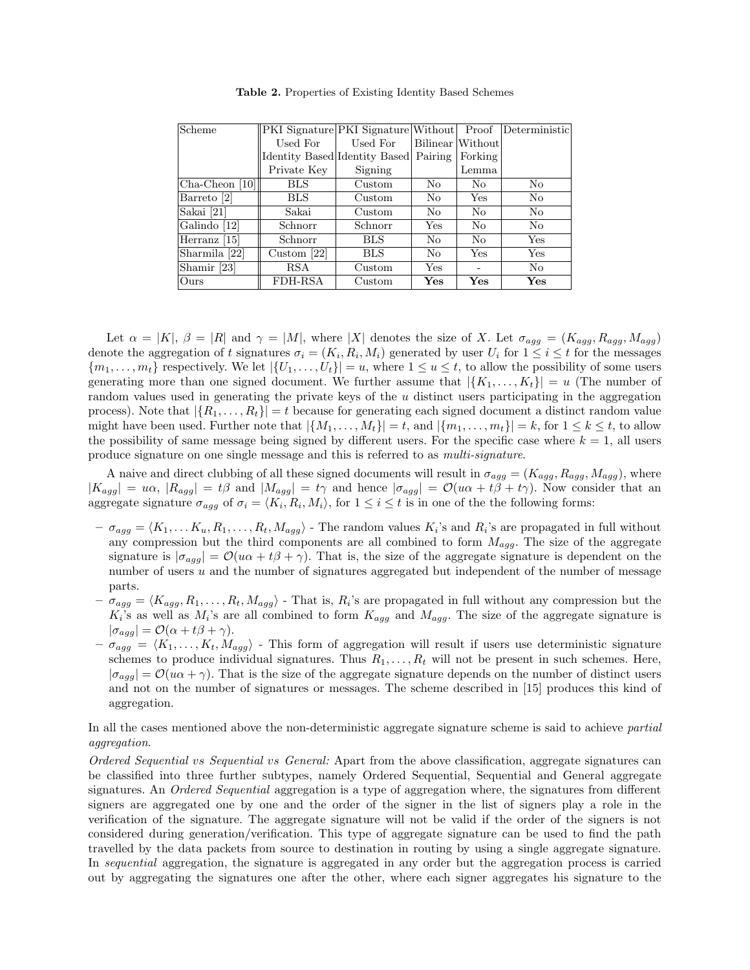| Scheme           |               | PKI Signature PKI Signature Without |           | Proof            | Deterministic  |
|------------------|---------------|-------------------------------------|-----------|------------------|----------------|
|                  | Used For      | Used For                            |           | Bilinear Without |                |
|                  |               | Identity Based Identity Based       | Pairing   | Forking          |                |
|                  | Private Key   | Signing                             |           | Lemma            |                |
| $Cha-Cheon$ [10] | <b>BLS</b>    | Custom                              | No.       | No.              | N <sub>0</sub> |
| Barreto [2]      | <b>BLS</b>    | Custom                              | No        | <b>Yes</b>       | No             |
| Sakai [21]       | Sakai         | Custom                              | No        | N <sub>0</sub>   | No             |
| Galindo [12]     | Schnorr       | Schnorr                             | Yes       | N <sub>0</sub>   | N <sub>0</sub> |
| Herranz [15]     | Schnorr       | <b>BLS</b>                          | No        | N <sub>0</sub>   | Yes            |
| Sharmila [22]    | Custom $[22]$ | <b>BLS</b>                          | No        | Yes              | Yes            |
| Shamir [23]      | RSA           | Custom                              | Yes       |                  | No             |
| Ours             | FDH-RSA       | Custom                              | $\rm Yes$ | Yes              | Yes            |

Table 2. Properties of Existing Identity Based Schemes

Let  $\alpha = |K|$ ,  $\beta = |R|$  and  $\gamma = |M|$ , where |X| denotes the size of X. Let  $\sigma_{agg} = (K_{agg}, R_{agg}, M_{agg})$ denote the aggregation of t signatures  $\sigma_i = (K_i, R_i, M_i)$  generated by user  $U_i$  for  $1 \leq i \leq t$  for the messages  ${m_1, \ldots, m_t}$  respectively. We let  ${U_1, \ldots, U_t}| = u$ , where  $1 \le u \le t$ , to allow the possibility of some users generating more than one signed document. We further assume that  $|\{K_1, \ldots, K_t\}| = u$  (The number of random values used in generating the private keys of the u distinct users participating in the aggregation process). Note that  $|\{R_1, \ldots, R_t\}| = t$  because for generating each signed document a distinct random value might have been used. Further note that  $|\{M_1, \ldots, M_t\}| = t$ , and  $|\{m_1, \ldots, m_t\}| = k$ , for  $1 \leq k \leq t$ , to allow the possibility of same message being signed by different users. For the specific case where  $k = 1$ , all users produce signature on one single message and this is referred to as *multi-signature*.

A naive and direct clubbing of all these signed documents will result in  $\sigma_{agg} = (K_{agg}, R_{agg}, M_{agg})$ , where  $|K_{agg}| = u\alpha$ ,  $|R_{agg}| = t\beta$  and  $|M_{agg}| = t\gamma$  and hence  $|\sigma_{agg}| = O(u\alpha + t\beta + t\gamma)$ . Now consider that an aggregate signature  $\sigma_{agg}$  of  $\sigma_i = \langle K_i, R_i, M_i \rangle$ , for  $1 \leq i \leq t$  is in one of the the following forms:

- $-\sigma_{agg} = \langle K_1, \ldots K_u, R_1, \ldots, R_t, M_{agg} \rangle$  The random values  $K_i$ 's and  $R_i$ 's are propagated in full without any compression but the third components are all combined to form  $M_{agg}$ . The size of the aggregate signature is  $|\sigma_{agg}| = \mathcal{O}(u\alpha + t\beta + \gamma)$ . That is, the size of the aggregate signature is dependent on the number of users  $u$  and the number of signatures aggregated but independent of the number of message parts.
- $-\sigma_{agg} = \langle K_{agg}, R_1, \ldots, R_t, M_{agg} \rangle$  That is,  $R_i$ 's are propagated in full without any compression but the  $K_i$ 's as well as  $M_i$ 's are all combined to form  $K_{agg}$  and  $M_{agg}$ . The size of the aggregate signature is  $|\sigma_{agg}| = \mathcal{O}(\alpha + t\beta + \gamma).$
- $-\sigma_{agg} = \langle K_1, \ldots, K_t, M_{agg} \rangle$  This form of aggregation will result if users use deterministic signature schemes to produce individual signatures. Thus  $R_1, \ldots, R_t$  will not be present in such schemes. Here,  $|\sigma_{aga}| = \mathcal{O}(u\alpha + \gamma)$ . That is the size of the aggregate signature depends on the number of distinct users and not on the number of signatures or messages. The scheme described in [15] produces this kind of aggregation.

In all the cases mentioned above the non-deterministic aggregate signature scheme is said to achieve *partial aggregation*.

*Ordered Sequential* vs *Sequential* vs *General:* Apart from the above classification, aggregate signatures can be classified into three further subtypes, namely Ordered Sequential, Sequential and General aggregate signatures. An *Ordered Sequential* aggregation is a type of aggregation where, the signatures from different signers are aggregated one by one and the order of the signer in the list of signers play a role in the verification of the signature. The aggregate signature will not be valid if the order of the signers is not considered during generation/verification. This type of aggregate signature can be used to find the path travelled by the data packets from source to destination in routing by using a single aggregate signature. In *sequential* aggregation, the signature is aggregated in any order but the aggregation process is carried out by aggregating the signatures one after the other, where each signer aggregates his signature to the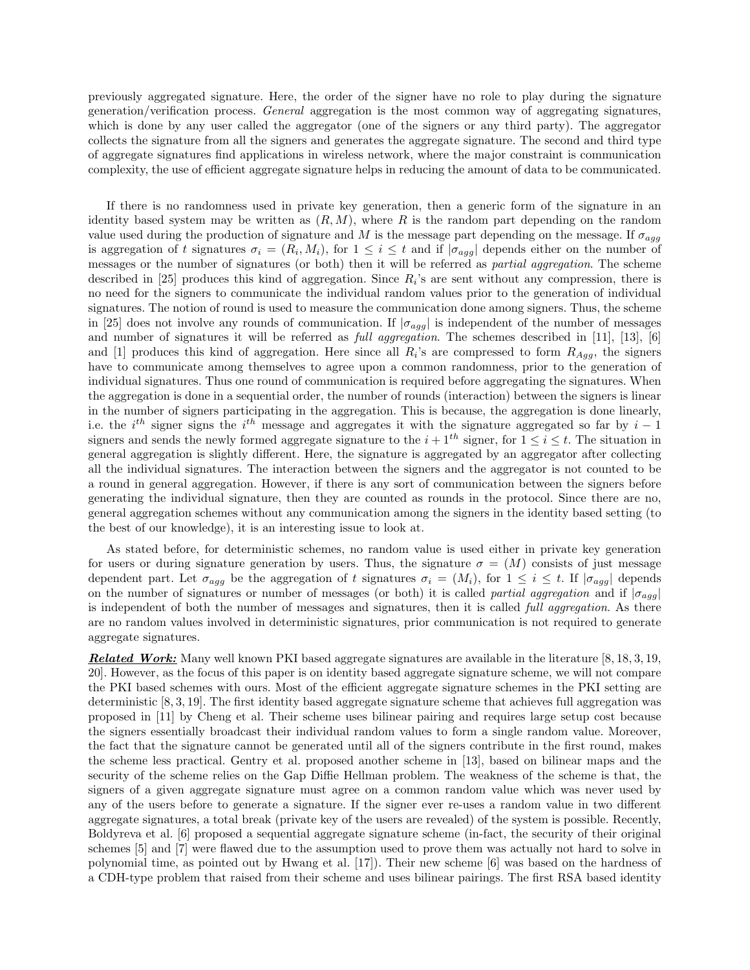previously aggregated signature. Here, the order of the signer have no role to play during the signature generation/verification process. *General* aggregation is the most common way of aggregating signatures, which is done by any user called the aggregator (one of the signers or any third party). The aggregator collects the signature from all the signers and generates the aggregate signature. The second and third type of aggregate signatures find applications in wireless network, where the major constraint is communication complexity, the use of efficient aggregate signature helps in reducing the amount of data to be communicated.

If there is no randomness used in private key generation, then a generic form of the signature in an identity based system may be written as  $(R, M)$ , where R is the random part depending on the random value used during the production of signature and M is the message part depending on the message. If  $\sigma_{agg}$ is aggregation of t signatures  $\sigma_i = (R_i, M_i)$ , for  $1 \leq i \leq t$  and if  $|\sigma_{agg}|$  depends either on the number of messages or the number of signatures (or both) then it will be referred as *partial aggregation*. The scheme described in [25] produces this kind of aggregation. Since  $R_i$ 's are sent without any compression, there is no need for the signers to communicate the individual random values prior to the generation of individual signatures. The notion of round is used to measure the communication done among signers. Thus, the scheme in [25] does not involve any rounds of communication. If  $|\sigma_{agg}|$  is independent of the number of messages and number of signatures it will be referred as *full aggregation*. The schemes described in [11], [13], [6] and [1] produces this kind of aggregation. Here since all  $R_i$ 's are compressed to form  $R_{Agg}$ , the signers have to communicate among themselves to agree upon a common randomness, prior to the generation of individual signatures. Thus one round of communication is required before aggregating the signatures. When the aggregation is done in a sequential order, the number of rounds (interaction) between the signers is linear in the number of signers participating in the aggregation. This is because, the aggregation is done linearly, i.e. the  $i^{th}$  signer signs the  $i^{th}$  message and aggregates it with the signature aggregated so far by  $i-1$ signers and sends the newly formed aggregate signature to the  $i + 1^{th}$  signer, for  $1 \le i \le t$ . The situation in general aggregation is slightly different. Here, the signature is aggregated by an aggregator after collecting all the individual signatures. The interaction between the signers and the aggregator is not counted to be a round in general aggregation. However, if there is any sort of communication between the signers before generating the individual signature, then they are counted as rounds in the protocol. Since there are no, general aggregation schemes without any communication among the signers in the identity based setting (to the best of our knowledge), it is an interesting issue to look at.

As stated before, for deterministic schemes, no random value is used either in private key generation for users or during signature generation by users. Thus, the signature  $\sigma = (M)$  consists of just message dependent part. Let  $\sigma_{agg}$  be the aggregation of t signatures  $\sigma_i = (M_i)$ , for  $1 \leq i \leq t$ . If  $|\sigma_{agg}|$  depends on the number of signatures or number of messages (or both) it is called *partial aggregation* and if  $|\sigma_{agg}|$ is independent of both the number of messages and signatures, then it is called *full aggregation*. As there are no random values involved in deterministic signatures, prior communication is not required to generate aggregate signatures.

*Related Work:* Many well known PKI based aggregate signatures are available in the literature [8, 18, 3, 19, 20]. However, as the focus of this paper is on identity based aggregate signature scheme, we will not compare the PKI based schemes with ours. Most of the efficient aggregate signature schemes in the PKI setting are deterministic [8, 3, 19]. The first identity based aggregate signature scheme that achieves full aggregation was proposed in [11] by Cheng et al. Their scheme uses bilinear pairing and requires large setup cost because the signers essentially broadcast their individual random values to form a single random value. Moreover, the fact that the signature cannot be generated until all of the signers contribute in the first round, makes the scheme less practical. Gentry et al. proposed another scheme in [13], based on bilinear maps and the security of the scheme relies on the Gap Diffie Hellman problem. The weakness of the scheme is that, the signers of a given aggregate signature must agree on a common random value which was never used by any of the users before to generate a signature. If the signer ever re-uses a random value in two different aggregate signatures, a total break (private key of the users are revealed) of the system is possible. Recently, Boldyreva et al. [6] proposed a sequential aggregate signature scheme (in-fact, the security of their original schemes [5] and [7] were flawed due to the assumption used to prove them was actually not hard to solve in polynomial time, as pointed out by Hwang et al. [17]). Their new scheme [6] was based on the hardness of a CDH-type problem that raised from their scheme and uses bilinear pairings. The first RSA based identity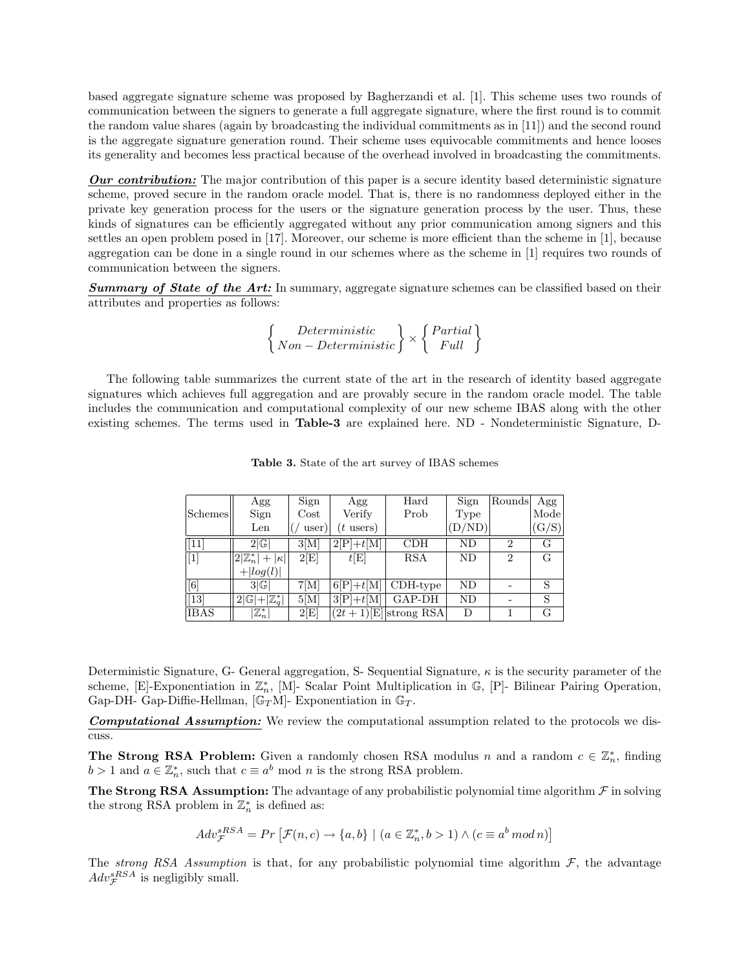based aggregate signature scheme was proposed by Bagherzandi et al. [1]. This scheme uses two rounds of communication between the signers to generate a full aggregate signature, where the first round is to commit the random value shares (again by broadcasting the individual commitments as in [11]) and the second round is the aggregate signature generation round. Their scheme uses equivocable commitments and hence looses its generality and becomes less practical because of the overhead involved in broadcasting the commitments.

*Our contribution:* The major contribution of this paper is a secure identity based deterministic signature scheme, proved secure in the random oracle model. That is, there is no randomness deployed either in the private key generation process for the users or the signature generation process by the user. Thus, these kinds of signatures can be efficiently aggregated without any prior communication among signers and this settles an open problem posed in [17]. Moreover, our scheme is more efficient than the scheme in [1], because aggregation can be done in a single round in our schemes where as the scheme in [1] requires two rounds of communication between the signers.

*Summary of State of the Art:* In summary, aggregate signature schemes can be classified based on their attributes and properties as follows:

$$
\left\{\begin{array}{c} Deterministic\\ Non-Deterministic \end{array}\right\} \times \left\{\begin{array}{c} Partial\\ Full \end{array}\right\}
$$

The following table summarizes the current state of the art in the research of identity based aggregate signatures which achieves full aggregation and are provably secure in the random oracle model. The table includes the communication and computational complexity of our new scheme IBAS along with the other existing schemes. The terms used in Table-3 are explained here. ND - Nondeterministic Signature, D-

|             | Agg                              | Sign     | Agg         | Hard                   | Sign   | Rounds         | Agg   |
|-------------|----------------------------------|----------|-------------|------------------------|--------|----------------|-------|
| Schemes     | Sign                             | $\cos t$ | Verify      | Prob                   | Type   |                | Mode  |
|             | Len                              | user)    | $(t$ users) |                        | (D/ND) |                | (G/S) |
| [11]        | 2 G                              | 3[M]     | $2[P]+t[M]$ | CDH                    | ND     | $\overline{2}$ | G     |
| $\boxed{1}$ | $ 2 \mathbb{Z}_n^* + \kappa  $   | 2 E      | t[E]        | <b>RSA</b>             | ND     | $\overline{2}$ | G     |
|             | $+  log(l) $                     |          |             |                        |        |                |       |
| [6]         | 3 G                              | 7[M]     | $6[P]+t[M]$ | $CDH-type$             | ND     |                | S     |
| $[13]$      | $2 \mathbb{G} + \mathbb{Z}_q^* $ | 5[M]     | $3[P]+t[M]$ | GAP-DH                 | ND     |                | S     |
| <b>IBAS</b> | $\mathbb{Z}_n^*$                 | 2 E      |             | $(2t+1)[E]$ strong RSA | D      |                | G     |

Table 3. State of the art survey of IBAS schemes

Deterministic Signature, G- General aggregation, S- Sequential Signature,  $\kappa$  is the security parameter of the scheme, [E]-Exponentiation in  $\mathbb{Z}_n^*$ , [M]- Scalar Point Multiplication in G, [P]- Bilinear Pairing Operation, Gap-DH- Gap-Diffie-Hellman,  $[\mathbb{G}_T \mathbf{M}]$ - Exponentiation in  $\mathbb{G}_T$ .

*Computational Assumption:* We review the computational assumption related to the protocols we discuss.

**The Strong RSA Problem:** Given a randomly chosen RSA modulus n and a random  $c \in \mathbb{Z}_n^*$ , finding  $b > 1$  and  $a \in \mathbb{Z}_n^*$ , such that  $c \equiv a^b \mod n$  is the strong RSA problem.

The Strong RSA Assumption: The advantage of any probabilistic polynomial time algorithm  $\mathcal F$  in solving the strong RSA problem in  $\mathbb{Z}_n^*$  is defined as:

$$
Adv_{\mathcal{F}}^{sRSA} = Pr\left[\mathcal{F}(n,c) \to \{a,b\} \mid (a \in \mathbb{Z}_n^*, b > 1) \land (c \equiv a^b \mod n)\right]
$$

The *strong* RSA Assumption is that, for any probabilistic polynomial time algorithm  $F$ , the advantage  $Adv_{\mathcal{F}}^{sRSA}$  is negligibly small.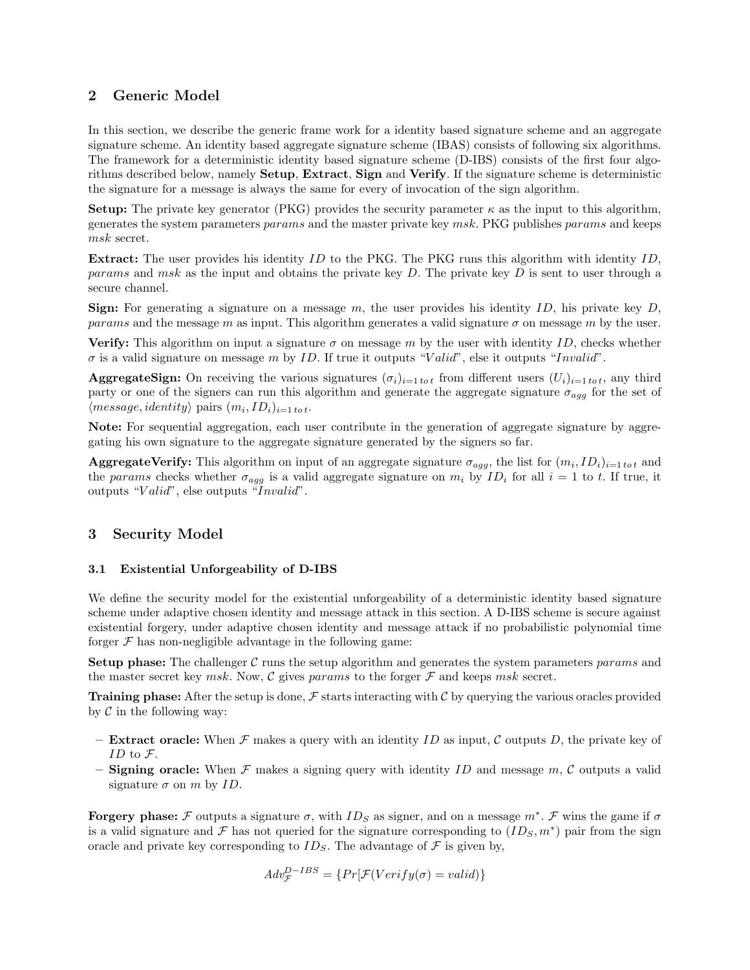# 2 Generic Model

In this section, we describe the generic frame work for a identity based signature scheme and an aggregate signature scheme. An identity based aggregate signature scheme (IBAS) consists of following six algorithms. The framework for a deterministic identity based signature scheme (D-IBS) consists of the first four algorithms described below, namely Setup, Extract, Sign and Verify. If the signature scheme is deterministic the signature for a message is always the same for every of invocation of the sign algorithm.

**Setup:** The private key generator (PKG) provides the security parameter  $\kappa$  as the input to this algorithm, generates the system parameters params and the master private key msk. PKG publishes params and keeps msk secret.

**Extract:** The user provides his identity  $ID$  to the PKG. The PKG runs this algorithm with identity  $ID$ , *params* and msk as the input and obtains the private key  $D$ . The private key  $D$  is sent to user through a secure channel.

**Sign:** For generating a signature on a message  $m$ , the user provides his identity  $ID$ , his private key  $D$ , params and the message m as input. This algorithm generates a valid signature  $\sigma$  on message m by the user.

**Verify:** This algorithm on input a signature  $\sigma$  on message m by the user with identity ID, checks whether  $\sigma$  is a valid signature on message m by ID. If true it outputs "Valid", else it outputs "Invalid".

**AggregateSign:** On receiving the various signatures  $(\sigma_i)_{i=1 \text{ to } t}$  from different users  $(U_i)_{i=1 \text{ to } t}$ , any third party or one of the signers can run this algorithm and generate the aggregate signature  $\sigma_{aqq}$  for the set of  $\langle message, identity \rangle$  pairs  $(m_i, ID_i)_{i=1 \text{ tot}}$ .

Note: For sequential aggregation, each user contribute in the generation of aggregate signature by aggregating his own signature to the aggregate signature generated by the signers so far.

**AggregateVerify:** This algorithm on input of an aggregate signature  $\sigma_{agg}$ , the list for  $(m_i, ID_i)_{i=1 \text{ to } t}$  and the params checks whether  $\sigma_{agg}$  is a valid aggregate signature on  $m_i$  by  $ID_i$  for all  $i = 1$  to t. If true, it outputs "Valid", else outputs "Invalid".

# 3 Security Model

# 3.1 Existential Unforgeability of D-IBS

We define the security model for the existential unforgeability of a deterministic identity based signature scheme under adaptive chosen identity and message attack in this section. A D-IBS scheme is secure against existential forgery, under adaptive chosen identity and message attack if no probabilistic polynomial time forger  $\mathcal F$  has non-negligible advantage in the following game:

**Setup phase:** The challenger  $C$  runs the setup algorithm and generates the system parameters params and the master secret key msk. Now, C gives params to the forger  $\mathcal F$  and keeps msk secret.

**Training phase:** After the setup is done,  $\mathcal F$  starts interacting with  $\mathcal C$  by querying the various oracles provided by  $\mathcal C$  in the following way:

- **Extract oracle:** When  $\mathcal F$  makes a query with an identity ID as input, C outputs D, the private key of ID to  $\mathcal{F}$ .
- **Signing oracle:** When  $\mathcal F$  makes a signing query with identity ID and message  $m$ , C outputs a valid signature  $\sigma$  on m by ID.

**Forgery phase:** F outputs a signature  $\sigma$ , with  $ID_S$  as signer, and on a message  $m^*$ . F wins the game if  $\sigma$ is a valid signature and F has not queried for the signature corresponding to  $(ID_S, m^*)$  pair from the sign oracle and private key corresponding to  $ID_S$ . The advantage of  $\mathcal F$  is given by,

$$
Adv_{\mathcal{F}}^{D-IBS} = \{Pr[\mathcal{F}(Verify(\sigma) = valid)]\}
$$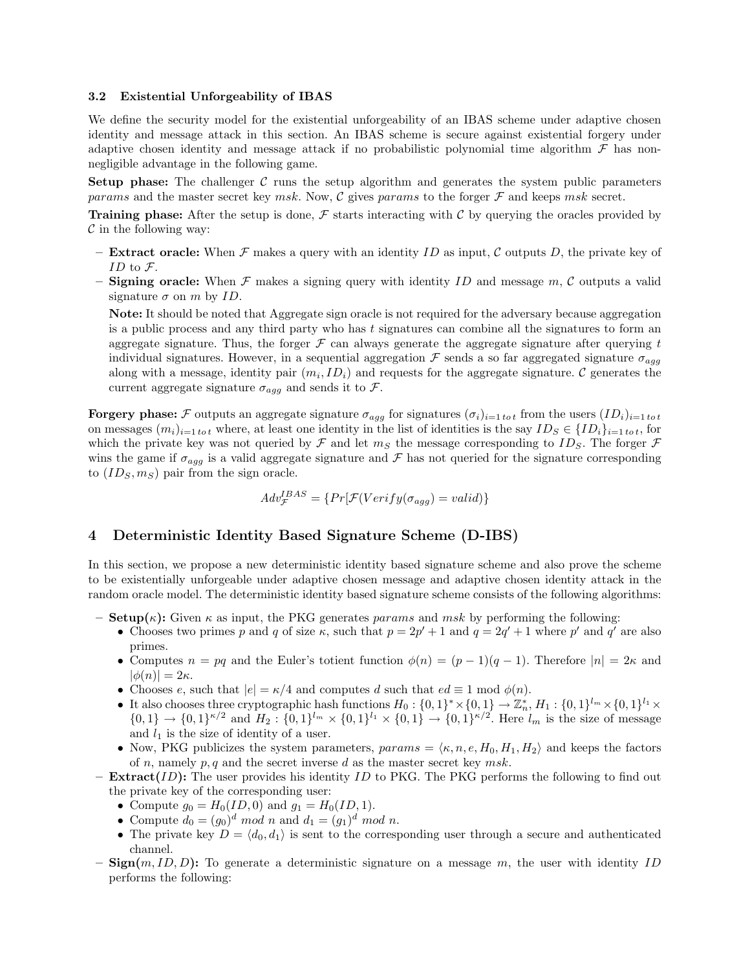#### 3.2 Existential Unforgeability of IBAS

We define the security model for the existential unforgeability of an IBAS scheme under adaptive chosen identity and message attack in this section. An IBAS scheme is secure against existential forgery under adaptive chosen identity and message attack if no probabilistic polynomial time algorithm  $\mathcal F$  has nonnegligible advantage in the following game.

**Setup phase:** The challenger  $C$  runs the setup algorithm and generates the system public parameters params and the master secret key msk. Now, C gives params to the forger  $\mathcal F$  and keeps msk secret.

**Training phase:** After the setup is done,  $\mathcal F$  starts interacting with  $\mathcal C$  by querying the oracles provided by  $\mathcal C$  in the following way:

- **Extract oracle:** When  $\mathcal F$  makes a query with an identity ID as input, C outputs D, the private key of ID to  $\mathcal{F}.$
- Signing oracle: When  $\mathcal F$  makes a signing query with identity ID and message  $m$ , C outputs a valid signature  $\sigma$  on m by ID.

Note: It should be noted that Aggregate sign oracle is not required for the adversary because aggregation is a public process and any third party who has t signatures can combine all the signatures to form an aggregate signature. Thus, the forger  $\mathcal F$  can always generate the aggregate signature after querying t individual signatures. However, in a sequential aggregation  $\mathcal F$  sends a so far aggregated signature  $\sigma_{agg}$ along with a message, identity pair  $(m_i, ID_i)$  and requests for the aggregate signature. C generates the current aggregate signature  $\sigma_{agg}$  and sends it to  $\mathcal{F}$ .

**Forgery phase:** F outputs an aggregate signature  $\sigma_{agg}$  for signatures  $(\sigma_i)_{i=1 \text{ to } t}$  from the users  $(ID_i)_{i=1 \text{ to } t}$ on messages  $(m_i)_{i=1 \text{ to } t}$  where, at least one identity in the list of identities is the say  $ID_S \in \{ID_i\}_{i=1 \text{ to } t}$ , for which the private key was not queried by  $\mathcal F$  and let  $m_S$  the message corresponding to  $ID_S$ . The forger  $\mathcal F$ wins the game if  $\sigma_{agg}$  is a valid aggregate signature and  $\mathcal F$  has not queried for the signature corresponding to  $(ID_S, m_S)$  pair from the sign oracle.

$$
Adv_{\mathcal{F}}^{IBAS} = \{Pr[\mathcal{F}(Verify(\sigma_{agg}) = valid)]
$$

# 4 Deterministic Identity Based Signature Scheme (D-IBS)

In this section, we propose a new deterministic identity based signature scheme and also prove the scheme to be existentially unforgeable under adaptive chosen message and adaptive chosen identity attack in the random oracle model. The deterministic identity based signature scheme consists of the following algorithms:

- Setup $(\kappa)$ : Given  $\kappa$  as input, the PKG generates params and msk by performing the following:
	- Chooses two primes p and q of size  $\kappa$ , such that  $p = 2p' + 1$  and  $q = 2q' + 1$  where p' and q' are also primes.
	- Computes  $n = pq$  and the Euler's totient function  $\phi(n) = (p-1)(q-1)$ . Therefore  $|n| = 2\kappa$  and  $|\phi(n)| = 2\kappa.$
	- Chooses e, such that  $|e| = \kappa/4$  and computes d such that  $ed \equiv 1 \mod \phi(n)$ .
	- It also chooses three cryptographic hash functions  $H_0: \{0,1\}^* \times \{0,1\} \to \mathbb{Z}_n^*, H_1: \{0,1\}^{l_n} \times \{0,1\}^{l_1} \times$  $\{0,1\} \to \{0,1\}^{\kappa/2}$  and  $H_2: \{0,1\}^{l_m} \times \{0,1\}^{l_1} \times \{0,1\} \to \{0,1\}^{\kappa/2}$ . Here  $l_m$  is the size of message and  $l_1$  is the size of identity of a user.
	- Now, PKG publicizes the system parameters,  $params = \langle \kappa, n, e, H_0, H_1, H_2 \rangle$  and keeps the factors of n, namely  $p, q$  and the secret inverse d as the master secret key msk.
- **Extract**(ID): The user provides his identity ID to PKG. The PKG performs the following to find out the private key of the corresponding user:
	- Compute  $g_0 = H_0(ID, 0)$  and  $g_1 = H_0(ID, 1)$ .
	- Compute  $d_0 = (g_0)^d \mod n$  and  $d_1 = (g_1)^d \mod n$ .
	- The private key  $D = \langle d_0, d_1 \rangle$  is sent to the corresponding user through a secure and authenticated channel.
- $\text{Sign}(m, ID, D)$ : To generate a deterministic signature on a message m, the user with identity ID performs the following: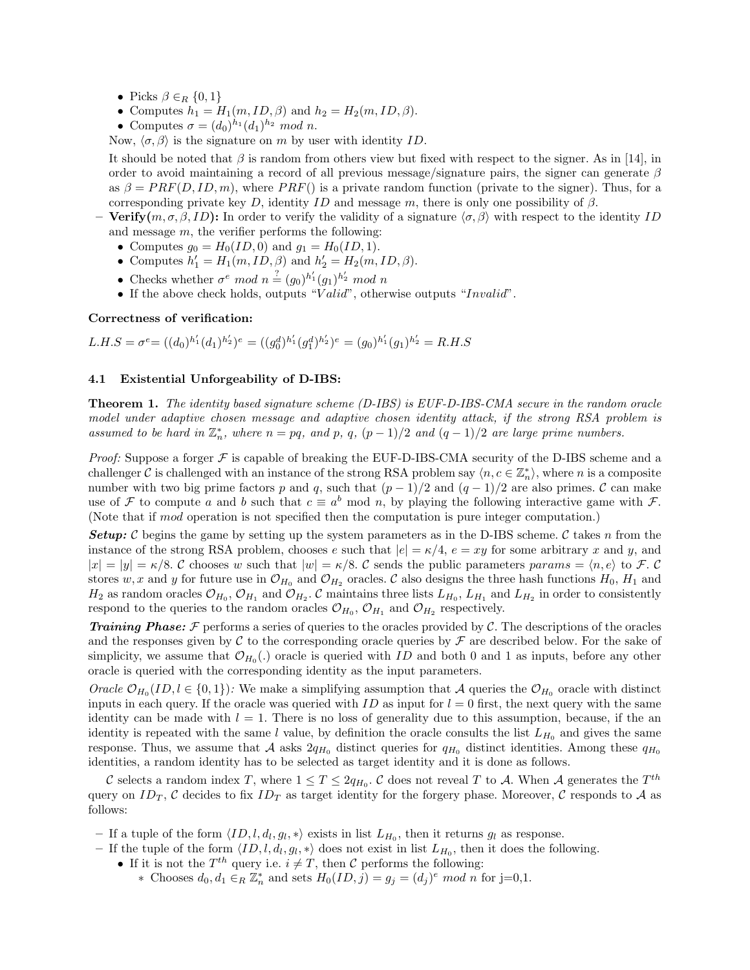- Picks  $\beta \in_R \{0,1\}$
- Computes  $h_1 = H_1(m, ID, \beta)$  and  $h_2 = H_2(m, ID, \beta)$ .
- Computes  $\sigma = (d_0)^{h_1} (d_1)^{h_2} \mod n$ .

Now,  $\langle \sigma, \beta \rangle$  is the signature on m by user with identity ID.

It should be noted that  $\beta$  is random from others view but fixed with respect to the signer. As in [14], in order to avoid maintaining a record of all previous message/signature pairs, the signer can generate  $\beta$ as  $\beta = PRF(D, ID, m)$ , where  $PRF()$  is a private random function (private to the signer). Thus, for a corresponding private key D, identity ID and message m, there is only one possibility of  $\beta$ .

- **Verify** $(m, \sigma, \beta, ID)$ : In order to verify the validity of a signature  $\langle \sigma, \beta \rangle$  with respect to the identity ID and message  $m$ , the verifier performs the following:
	- Computes  $g_0 = H_0(ID, 0)$  and  $g_1 = H_0(ID, 1)$ .
	- Computes  $h'_1 = H_1(m, ID, \beta)$  and  $h'_2 = H_2(m, ID, \beta)$ .
	- Checks whether  $\sigma^e \mod n \stackrel{?}{=} (g_0)^{h'_1} (g_1)^{h'_2} \mod n$
	- If the above check holds, outputs "Valid", otherwise outputs "Invalid".

#### Correctness of verification:

 $L.H.S = \sigma^e = ((d_0)^{h'_1} (d_1)^{h'_2})^e = ((g_0^d)^{h'_1} (g_1^d)^{h'_2})^e = (g_0)^{h'_1} (g_1)^{h'_2} = R.H.S$ 

#### 4.1 Existential Unforgeability of D-IBS:

Theorem 1. *The identity based signature scheme (D-IBS) is EUF-D-IBS-CMA secure in the random oracle model under adaptive chosen message and adaptive chosen identity attack, if the strong RSA problem is assumed* to be hard in  $\mathbb{Z}_n^*$ , where  $n = pq$ , and  $p$ ,  $q$ ,  $(p-1)/2$  and  $(q-1)/2$  are large prime numbers.

*Proof:* Suppose a forger  $F$  is capable of breaking the EUF-D-IBS-CMA security of the D-IBS scheme and a challenger C is challenged with an instance of the strong RSA problem say  $\langle n, c \in \mathbb{Z}_n^* \rangle$ , where n is a composite number with two big prime factors p and q, such that  $(p-1)/2$  and  $(q-1)/2$  are also primes. C can make use of F to compute a and b such that  $c \equiv a^b \mod n$ , by playing the following interactive game with F. (Note that if mod operation is not specified then the computation is pure integer computation.)

**Setup:** C begins the game by setting up the system parameters as in the D-IBS scheme. C takes n from the instance of the strong RSA problem, chooses e such that  $|e| = \kappa/4$ ,  $e = xy$  for some arbitrary x and y, and  $|x| = |y| = \kappa/8$ . C chooses w such that  $|w| = \kappa/8$ . C sends the public parameters params  $= \langle n, e \rangle$  to F. C stores w, x and y for future use in  $\mathcal{O}_{H_0}$  and  $\mathcal{O}_{H_2}$  oracles. C also designs the three hash functions  $H_0$ ,  $H_1$  and  $H_2$  as random oracles  $\mathcal{O}_{H_0}$ ,  $\mathcal{O}_{H_1}$  and  $\mathcal{O}_{H_2}$ .  $\mathcal C$  maintains three lists  $L_{H_0}$ ,  $L_{H_1}$  and  $L_{H_2}$  in order to consistently respond to the queries to the random oracles  $\mathcal{O}_{H_0}$ ,  $\mathcal{O}_{H_1}$  and  $\mathcal{O}_{H_2}$  respectively.

*Training Phase:* F performs a series of queries to the oracles provided by C. The descriptions of the oracles and the responses given by C to the corresponding oracle queries by  $\mathcal F$  are described below. For the sake of simplicity, we assume that  $\mathcal{O}_{H_0}(.)$  oracle is queried with ID and both 0 and 1 as inputs, before any other oracle is queried with the corresponding identity as the input parameters.

*Oracle*  $\mathcal{O}_{H_0}(ID, l \in \{0, 1\})$ *:* We make a simplifying assumption that A queries the  $\mathcal{O}_{H_0}$  oracle with distinct inputs in each query. If the oracle was queried with  $ID$  as input for  $l = 0$  first, the next query with the same identity can be made with  $l = 1$ . There is no loss of generality due to this assumption, because, if the an identity is repeated with the same l value, by definition the oracle consults the list  $L_{H_0}$  and gives the same response. Thus, we assume that A asks  $2q_{H_0}$  distinct queries for  $q_{H_0}$  distinct identities. Among these  $q_{H_0}$ identities, a random identity has to be selected as target identity and it is done as follows.

C selects a random index T, where  $1 \le T \le 2q_{H_0}$ . C does not reveal T to A. When A generates the  $T^{th}$ query on ID<sub>T</sub>, C decides to fix ID<sub>T</sub> as target identity for the forgery phase. Moreover, C responds to A as follows:

- If a tuple of the form  $\langle ID, l, d_l, g_l, * \rangle$  exists in list  $L_{H_0}$ , then it returns  $g_l$  as response.
- If the tuple of the form  $\langle ID, l, d_l, g_l, * \rangle$  does not exist in list  $L_{H_0}$ , then it does the following.
	- If it is not the  $T^{th}$  query i.e.  $i \neq T$ , then C performs the following:
		- ∗ Chooses  $d_0, d_1 \in_R \mathbb{Z}_n^*$  and sets  $H_0(ID, j) = g_j = (d_j)^e \mod n$  for j=0,1.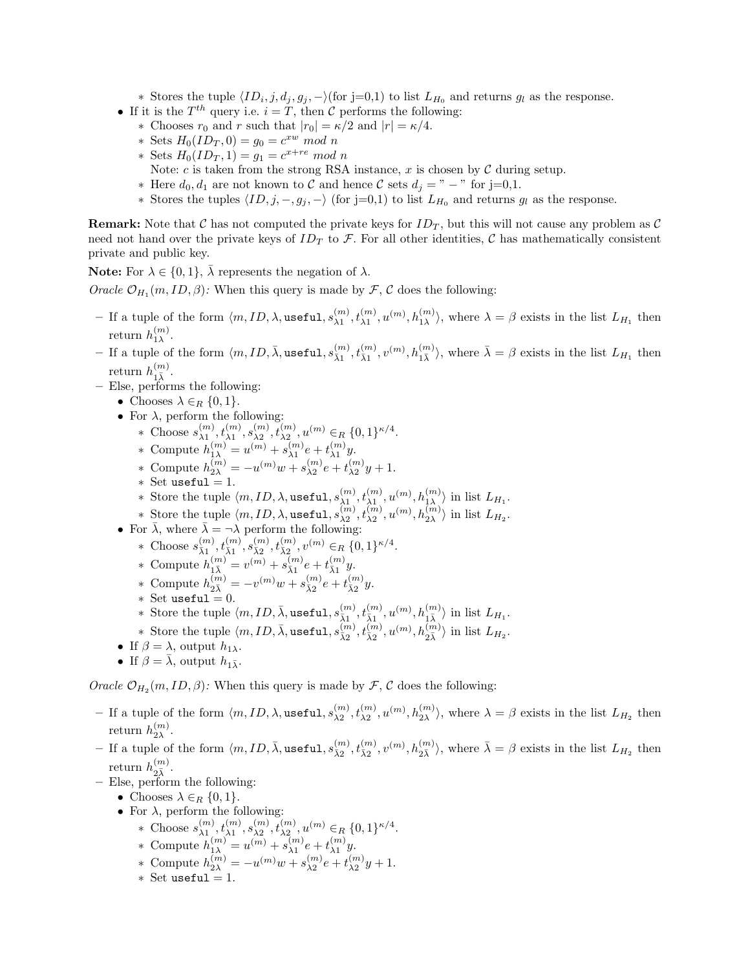∗ Stores the tuple  $\langle ID_i, j, d_j, g_j, - \rangle$ (for j=0,1) to list  $L_{H_0}$  and returns  $g_l$  as the response.

- If it is the  $T^{th}$  query i.e.  $i = T$ , then C performs the following:
	- ∗ Chooses  $r_0$  and  $r$  such that  $|r_0| = \kappa/2$  and  $|r| = \kappa/4$ .
	- ∗ Sets  $H_0(ID_T, 0) = g_0 = c^{xw} \mod n$
	- ∗ Sets  $H_0(ID_T, 1) = g_1 = c^{x+re} \mod n$ 
		- Note:  $c$  is taken from the strong RSA instance,  $x$  is chosen by  $\mathcal C$  during setup.
	- ∗ Here  $d_0, d_1$  are not known to  $\mathcal C$  and hence  $\mathcal C$  sets  $d_j = " − "$  for j=0,1.
	- $∗$  Stores the tuples  $\langle ID, j, -, g_j, \rangle$  (for j=0,1) to list  $L_{H_0}$  and returns  $g_l$  as the response.

**Remark:** Note that C has not computed the private keys for  $ID_T$ , but this will not cause any problem as C need not hand over the private keys of  $ID_T$  to F. For all other identities, C has mathematically consistent private and public key.

**Note:** For  $\lambda \in \{0, 1\}$ ,  $\overline{\lambda}$  represents the negation of  $\lambda$ .

*Oracle*  $\mathcal{O}_{H_1}(m, ID, \beta)$ *:* When this query is made by  $\mathcal{F}, \mathcal{C}$  does the following:

- $-$  If a tuple of the form  $\langle m, ID, \lambda, \text{useful}, s_{\lambda 1}^{(m)}, t_{\lambda 1}^{(m)}, u^{(m)}, h_{1\lambda}^{(m)} \rangle$ , where  $\lambda = \beta$  exists in the list  $L_{H_1}$  then return  $h_{1\lambda}^{(m)}$ .
- If a tuple of the form  $\langle m, ID, \overline{\lambda}, \text{useful}, s_{\overline{\lambda}1}^{(m)}, t_{\overline{\lambda}1}^{(m)}, v^{(m)}, h_{1\overline{\lambda}}^{(m)} \rangle$ , where  $\overline{\lambda} = \beta$  exists in the list  $L_{H_1}$  then return  $h_{1\bar{\lambda}}^{(m)}$ .
- Else, performs the following:
	- Chooses  $\lambda \in_R \{0,1\}.$
	- For  $\lambda$ , perform the following:
		- ∗ Choose  $s_{\lambda_1}^{(m)}, t_{\lambda_1}^{(m)}, s_{\lambda_2}^{(m)}, t_{\lambda_2}^{(m)}, u^{(m)} \in_R \{0, 1\}^{\kappa/4}.$
		- \* Compute  $h_{1\lambda}^{(m)} = u^{(m)} + s_{\lambda 1}^{(m)} e + t_{\lambda 1}^{(m)} y$ .
		- \* Compute  $h_{2\lambda}^{(m)} = -u^{(m)}w + s_{\lambda 2}^{(m)}e + t_{\lambda 2}^{(m)}y + 1.$
		- ∗ Set useful = 1.
		- ∗ Store the tuple  $\langle m, ID, \lambda, \texttt{useful}, s_{\lambda 1}^{(m)}, t_{\lambda 1}^{(m)}, u^{(m)}, h_{1\lambda}^{(m)} \rangle$  in list  $L_{H_1}$ .
		- \* Store the tuple  $\langle m, ID, \lambda, \text{useful}, s_{\lambda 2}^{(m)}, t_{\lambda 2}^{(m)}, u^{(m)}, h_{2\lambda}^{(m)} \rangle$  in list  $L_{H_2}$ .
	- For  $\bar{\lambda}$ , where  $\bar{\lambda} = -\lambda$  perform the following:
		- \* Choose  $s_{\bar{\lambda}1}^{(m)}, t_{\bar{\lambda}1}^{(m)}, s_{\bar{\lambda}2}^{(m)}, t_{\bar{\lambda}2}^{(m)}, v^{(m)} \in_R \{0,1\}^{\kappa/4}.$
		- \* Compute  $h_{1\bar{\lambda}}^{(m)} = v^{(m)} + s_{\bar{\lambda}1}^{(m)}e + t_{\bar{\lambda}1}^{(m)}y.$
		- \* Compute  $h_{2\bar{\lambda}}^{(m)} = -v^{(m)}w + s_{\bar{\lambda}2}^{(m)}e + t_{\bar{\lambda}2}^{(m)}y.$
		- $\ast$  Set useful = 0.
		- ∗ Store the tuple  $\langle m, ID, \bar{\lambda}, \texttt{useful}, s_{\bar{\lambda}1}^{(m)}, t_{\bar{\lambda}1}^{(m)}, u^{(m)}, h_{1\bar{\lambda}}^{(m)} \rangle$  in list  $L_{H_1}$ .
		- \* Store the tuple  $\langle m, ID, \bar{\lambda}, \texttt{useful}, s_{\bar{\lambda}2}^{(m)}, t_{\bar{\lambda}2}^{(m)}, u^{(m)}, h_{2\bar{\lambda}}^{(m)} \rangle$  in list  $L_{H_2}$ .
	- If  $\beta = \lambda$ , output  $h_{1\lambda}$ .
	- If  $\beta = \bar{\lambda}$ , output  $h_{1\bar{\lambda}}$ .

*Oracle*  $\mathcal{O}_{H_2}(m, ID, \beta)$ : When this query is made by  $\mathcal{F}, \mathcal{C}$  does the following:

- $-$  If a tuple of the form  $\langle m, ID, \lambda, \text{useful}, s_{\lambda 2}^{(m)}, t_{\lambda 2}^{(m)}, u^{(m)}, h_{2\lambda}^{(m)} \rangle$ , where  $\lambda = \beta$  exists in the list  $L_{H_2}$  then return  $h_{2\lambda}^{(m)}$ .
- $-$  If a tuple of the form  $\langle m, ID, \bar{\lambda}, \text{useful}, s_{\bar{\lambda}2}^{(m)}, t_{\bar{\lambda}2}^{(m)}, v^{(m)}, h_{2\bar{\lambda}}^{(m)} \rangle$ , where  $\bar{\lambda} = \beta$  exists in the list  $L_{H_2}$  then return  $h_{2\bar{\lambda}}^{(m)}$ .
- Else, perform the following:
	- Chooses  $\lambda \in_R \{0,1\}.$
	- For  $\lambda$ , perform the following:
		- \* Choose  $s_{\lambda 1}^{(m)}, t_{\lambda 1}^{(m)}, s_{\lambda 2}^{(m)}, t_{\lambda 2}^{(m)}, u^{(m)} \in_R \{0, 1\}^{\kappa/4}.$
		- \* Compute  $h_{1\lambda}^{(m)} = u^{(m)} + s_{\lambda 1}^{(m)} e + t_{\lambda 1}^{(m)} y$ .
		- \* Compute  $h_{2\lambda}^{(m)} = -u^{(m)}w + s_{\lambda 2}^{(m)}e + t_{\lambda 2}^{(m)}y + 1.$
		- $*$  Set useful = 1.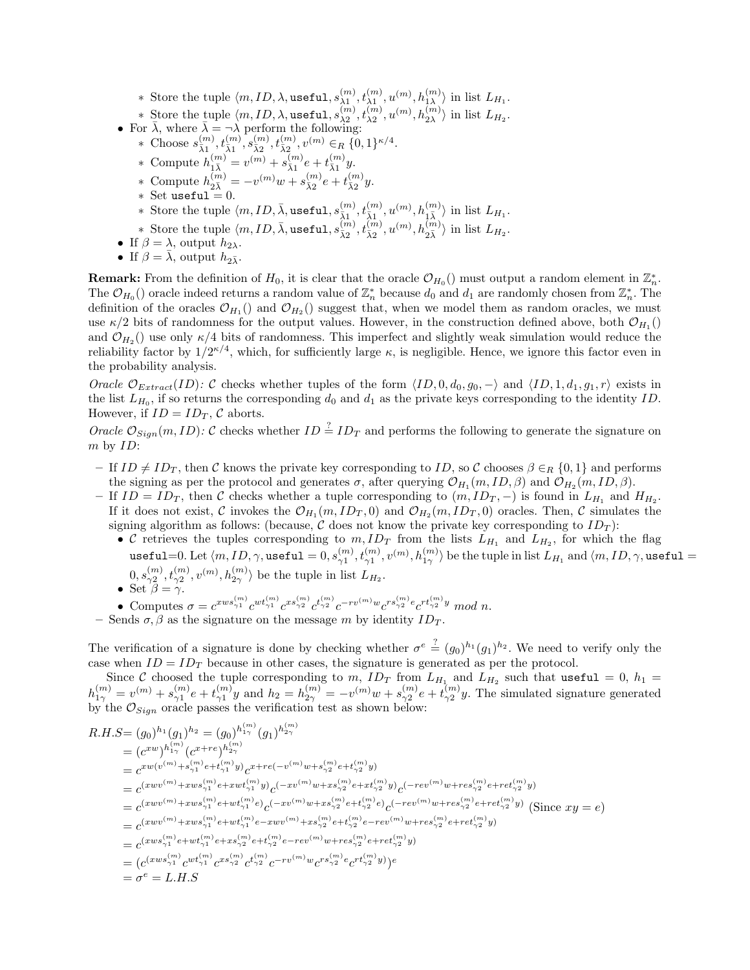- \* Store the tuple  $\langle m, ID, \lambda, \texttt{useful}, s_{\lambda 1}^{(m)}, t_{\lambda 1}^{(m)}, u^{(m)}, h_{1\lambda}^{(m)} \rangle$  in list  $L_{H_1}$ .
- \* Store the tuple  $\langle m, ID, \lambda, \text{useful}, s_{\lambda_2}^{(m)}, t_{\lambda_2}^{(m)}, u^{(m)}, h_{2\lambda}^{(m)} \rangle$  in list  $L_{H_2}$ .
- For  $\bar{\lambda}$ , where  $\bar{\lambda} = -\lambda$  perform the following:
	- \* Choose  $s_{\bar{\lambda}1}^{(m)}, t_{\bar{\lambda}1}^{(m)}, s_{\bar{\lambda}2}^{(m)}, t_{\bar{\lambda}2}^{(m)}, v^{(m)} \in_R \{0,1\}^{\kappa/4}.$
	- \* Compute  $h_{1\bar{\lambda}}^{(m)} = v^{(m)} + s_{\bar{\lambda}1}^{(m)}e + t_{\bar{\lambda}1}^{(m)}y.$
	-
	- \* Compute  $h_{2\bar{\lambda}}^{(m)} = -v^{(m)}w + s_{\bar{\lambda}2}^{(m)}e + t_{\bar{\lambda}2}^{(m)}y.$
	- $\ast$  Set useful = 0.
	- ∗ Store the tuple  $\langle m, ID, \bar{\lambda}, \texttt{useful}, s_{\bar{\lambda}1}^{(m)}, t_{\bar{\lambda}1}^{(m)}, u^{(m)}, h_{1\bar{\lambda}}^{(m)} \rangle$  in list  $L_{H_1}$ .
	- \* Store the tuple  $\langle m, ID, \bar{\lambda}, \text{useful}, s_{\bar{\lambda}2}^{(m)}, t_{\bar{\lambda}2}^{(m)}, u^{(m)}, h_{2\bar{\lambda}}^{(m)} \rangle$  in list  $L_{H_2}$ .
- If  $\beta = \lambda$ , output  $h_{2\lambda}$ .
- If  $\beta = \overline{\lambda}$ , output  $h_{2\overline{\lambda}}$ .

**Remark:** From the definition of  $H_0$ , it is clear that the oracle  $\mathcal{O}_{H_0}$  must output a random element in  $\mathbb{Z}_n^*$ . The  $\mathcal{O}_{H_0}$  oracle indeed returns a random value of  $\mathbb{Z}_n^*$  because  $d_0$  and  $d_1$  are randomly chosen from  $\mathbb{Z}_n^*$ . The definition of the oracles  $\mathcal{O}_{H_1}$  and  $\mathcal{O}_{H_2}$  suggest that, when we model them as random oracles, we must use  $\kappa/2$  bits of randomness for the output values. However, in the construction defined above, both  $\mathcal{O}_{H_1}$ and  $\mathcal{O}_{H_2}$  () use only  $\kappa/4$  bits of randomness. This imperfect and slightly weak simulation would reduce the reliability factor by  $1/2^{k/4}$ , which, for sufficiently large  $\kappa$ , is negligible. Hence, we ignore this factor even in the probability analysis.

*Oracle*  $\mathcal{O}_{Extract}(ID)$ : C checks whether tuples of the form  $\langle ID, 0, d_0, g_0, - \rangle$  and  $\langle ID, 1, d_1, g_1, r \rangle$  exists in the list  $L_{H_0}$ , if so returns the corresponding  $d_0$  and  $d_1$  as the private keys corresponding to the identity ID. However, if  $ID = ID_T$ ,  $C$  aborts.

*Oracle*  $\mathcal{O}_{Sign}(m, ID)$ : C checks whether  $ID = ID_T$  and performs the following to generate the signature on m by ID:

- If  $ID \neq ID_T$ , then C knows the private key corresponding to ID, so C chooses  $\beta \in_R \{0,1\}$  and performs the signing as per the protocol and generates  $\sigma$ , after querying  $\mathcal{O}_{H_1}(m, ID, \beta)$  and  $\mathcal{O}_{H_2}(m, ID, \beta)$ .
- If  $ID = ID_T$ , then C checks whether a tuple corresponding to  $(m, ID_T, -)$  is found in  $L_{H_1}$  and  $H_{H_2}$ . If it does not exist, C invokes the  $\mathcal{O}_{H_1}(m, ID_T, 0)$  and  $\mathcal{O}_{H_2}(m, ID_T, 0)$  oracles. Then, C simulates the signing algorithm as follows: (because, C does not know the private key corresponding to  $ID_T$ ):
	- C retrieves the tuples corresponding to  $m, ID_T$  from the lists  $L_{H_1}$  and  $L_{H_2}$ , for which the flag  ${\tt useful=0. \: Let\:} \langle m, ID, \gamma, {\tt useful=0}, s^{(m)}_{\gamma 1}, t^{(m)}_{\gamma 1}, v^{(m)}, h^{(m)}_{1\gamma} \rangle \text{ be the tuple in list } L_{H_1} \text{ and } \langle m, ID, \gamma, {\tt useful=0}.$  $(0, s_{\gamma_2^2}^{(m)}, t_{\gamma_2^2}^{(m)}, v^{(m)}, h_{2\gamma}^{(m)})$  be the tuple in list  $L_{H_2}$ .
	- Set  $\beta = \gamma$ .
	- Computes  $\sigma = c^{xws_{\gamma_1}^{(m)}} c^{wt_{\gamma_1}^{(m)}} c^{xs_{\gamma_2}^{(m)}} c^{t_{\gamma_2}^{(m)}} c^{-rv^{(m)}w} c^{rs_{\gamma_2}^{(m)}e} c^{rt_{\gamma_2}^{(m)}y} \mod n.$
- Sends  $\sigma$ ,  $\beta$  as the signature on the message m by identity  $ID_T$ .

The verification of a signature is done by checking whether  $\sigma^e \stackrel{?}{=} (g_0)^{h_1}(g_1)^{h_2}$ . We need to verify only the case when  $ID = ID<sub>T</sub>$  because in other cases, the signature is generated as per the protocol.

Since C choosed the tuple corresponding to  $m$ ,  $ID_T$  from  $L_{H_1}$  and  $L_{H_2}$  such that useful = 0,  $h_1 =$  $h_{1\gamma}^{(m)} = v^{(m)} + s_{\gamma 1}^{(m)}e + t_{\gamma 1}^{(m)}y$  and  $h_2 = h_{2\gamma}^{(m)} = -v^{(m)}w + s_{\gamma 2}^{(m)}e + t_{\gamma 2}^{(m)}y$ . The simulated signature generated by the  $\mathcal{O}_{Sign}$  oracle passes the verification test as shown below:

$$
R.H.S = (g_0)^{h_1}(g_1)^{h_2} = (g_0)^{h_{1\gamma}^{(m)}}(g_1)^{h_{2\gamma}^{(m)}}
$$
  
\n
$$
= (c^{xw})^{h_{1\gamma}^{(m)}}(c^{x+re})^{h_{2\gamma}^{(m)}}
$$
  
\n
$$
= c^{xw(v^{(m)}+s_{\gamma_1}^{(m)}e+t_{\gamma_1}^{(m)}y)}c^{x+re(-v^{(m)}w+s_{\gamma_2}^{(m)}e+t_{\gamma_2}^{(m)}y)}
$$
  
\n
$$
= c^{(xwv^{(m)}+xws_{\gamma_1}^{(m)}e+xwt_{\gamma_1}^{(m)}y)}c^{(-xv^{(m)}w+xs_{\gamma_2}^{(m)}e+xt_{\gamma_2}^{(m)}y)}c^{(-rev^{(m)}w+res_{\gamma_2}^{(m)}e+ret_{\gamma_2}^{(m)}y)}
$$
  
\n
$$
= c^{(xwv^{(m)}+xws_{\gamma_1}^{(m)}e+wt_{\gamma_1}^{(m)}e)}c^{(-xv^{(m)}w+xs_{\gamma_2}^{(m)}e+t_{\gamma_2}^{(m)}e)}c^{(-rev^{(m)}w+res_{\gamma_2}^{(m)}e+ret_{\gamma_2}^{(m)}y)} \text{ (Since } xy = e)
$$
  
\n
$$
= c^{(xwv^{(m)}+xws_{\gamma_1}^{(m)}e+wt_{\gamma_1}^{(m)}e-xwv^{(m)}+xs_{\gamma_2}^{(m)}e+t_{\gamma_2}^{(m)}e-rev^{(m)}w+res_{\gamma_2}^{(m)}e+ret_{\gamma_2}^{(m)}y)} = c^{(xws_{\gamma_1}^{(m)}e+wt_{\gamma_1}^{(m)}e+xs_{\gamma_2}^{(m)}e+t_{\gamma_2}^{(m)}e-rev^{(m)}w+res_{\gamma_2}^{(m)}e+ret_{\gamma_2}^{(m)}y)} = (c^{(xws_{\gamma_1}^{(m)}}c^{wt_{\gamma_1}^{(m)}}c^{xs_{\gamma_2}^{(m)}}c^{t_{\gamma_2}^{(m)}}c^{-(rv^{(m)})}w c^{rs_{\gamma_2}^{(m)}e}c^{rt_{\gamma_2}^{(m)}y})e
$$
  
\n
$$
= \
$$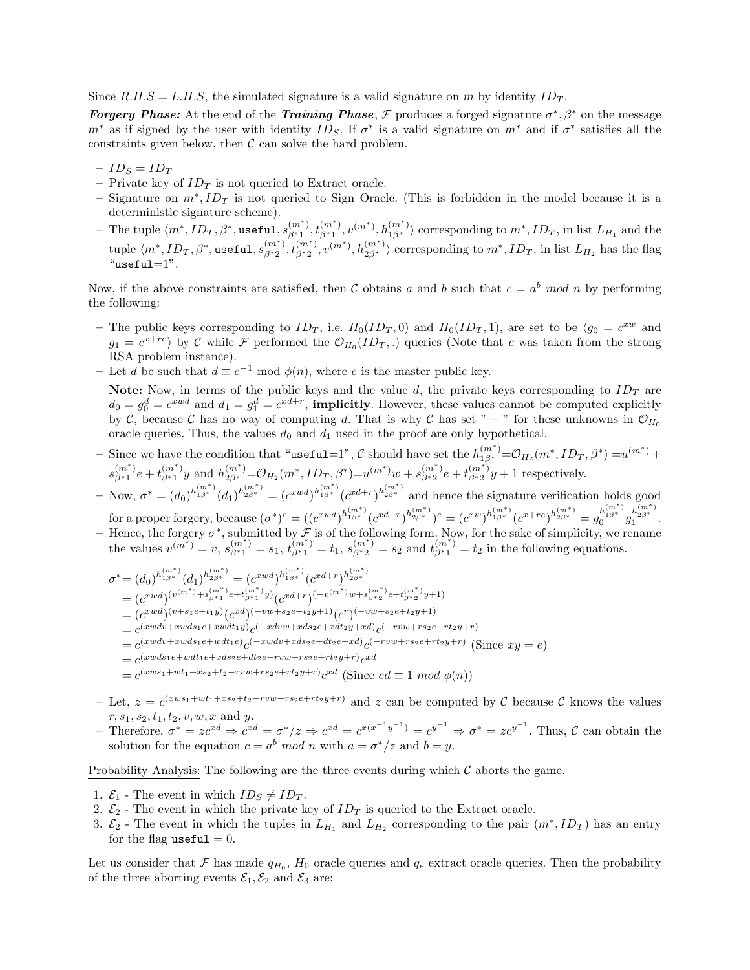Since  $R.H.S = L.H.S$ , the simulated signature is a valid signature on m by identity  $ID_T$ .

*Forgery Phase:* At the end of the *Training Phase*, *F* produces a forged signature  $\sigma^*$ ,  $\beta^*$  on the message  $m^*$  as if signed by the user with identity  $ID_S$ . If  $\sigma^*$  is a valid signature on  $m^*$  and if  $\sigma^*$  satisfies all the constraints given below, then  $\mathcal C$  can solve the hard problem.

- $-I D_S = I D_T$
- Private key of  $ID_T$  is not queried to Extract oracle.
- Signature on  $m^*$ ,  $ID_T$  is not queried to Sign Oracle. (This is forbidden in the model because it is a deterministic signature scheme).
- $-$  The tuple  $\langle m^*,ID_T,\beta^*,$ useful,  $s^{(m^*)}_{\beta^*1},t^{(m^*)}_{\beta^*1},v^{(m^*)},h^{(m^*)}_{1\beta^*} \rangle$  corresponding to  $m^*,ID_T,$  in list  $L_{H_1}$  and the  ${\rm tuple}~\langle m^*,ID_T,\beta^*, {\tt useful},s^{(m^*)}_{\beta^*2},t^{(m^*)}_{\beta^*2},v^{(m^*)},h^{(m^*)}_{2\beta^*}\rangle~ {\rm corresponding~to}~m^*,ID_T,~{\rm in}~{\rm list}~L_{H_2}~{\rm has~the~flag}$  $"useful=1"$ .

Now, if the above constraints are satisfied, then C obtains a and b such that  $c = a^b \mod n$  by performing the following:

- The public keys corresponding to  $ID_T$ , i.e.  $H_0(ID_T, 0)$  and  $H_0(ID_T, 1)$ , are set to be  $\langle g_0 = c^{xw}$  and  $g_1 = c^{x+re}$  by C while F performed the  $\mathcal{O}_{H_0}(ID_T,.)$  queries (Note that c was taken from the strong RSA problem instance).
- Let d be such that  $d \equiv e^{-1} \mod \phi(n)$ , where e is the master public key.

Note: Now, in terms of the public keys and the value d, the private keys corresponding to  $ID_T$  are  $d_0 = g_0^d = c^{xwd}$  and  $d_1 = g_1^d = c^{xd+r}$ , **implicitly**. However, these values cannot be computed explicitly by C, because C has no way of computing d. That is why C has set " – " for these unknowns in  $\mathcal{O}_{H_0}$ oracle queries. Thus, the values  $d_0$  and  $d_1$  used in the proof are only hypothetical.

 $-$  Since we have the condition that "**useful**=1", C should have set the  $h_{1β^*}^{(m^*)} = \mathcal{O}_{H_2}(m^*, ID_T, \beta^*) = u^{(m^*)} +$  $s_{\beta^*1}^{(m^*)}e + t_{\beta^*1}^{(m^*)}y$  and  $h_{2\beta^*}^{(m^*)} = \mathcal{O}_{H_2}(m^*, ID_T, \beta^*) = u^{(m^*)}w + s_{\beta^*2}^{(m^*)}e + t_{\beta^*2}^{(m^*)}y + 1$  respectively.

 $- \text{ Now, } \sigma^* = (d_0)^{h_{1\beta^*}^{(m^*)}} (d_1)^{h_{2\beta^*}^{(m^*)}} = (c^{xwd})^{h_{1\beta^*}^{(m^*)}} (c^{xd+r})^{h_{2\beta^*}^{(m^*)}}$  and hence the signature verification holds good  $\text{for a proper forgery, because } (\sigma^*)^e = ((c^{xwd})^{h_{1\beta^*}^{(m^*)}}(c^{xd+r})^{h_{2\beta^*}^{(m^*)}})^e = (c^{xw})^{h_{1\beta^*}^{(m^*)}}(c^{x+re})^{h_{2\beta^*}^{(m^*)}} = g_0^{h_{1\beta^*}^{(m^*)}}g_1^{h_{2\beta^*}^{(m^*)}}.$ 

– Hence, the forgery  $\sigma^*$ , submitted by  $\mathcal{F}$  is of the following form. Now, for the sake of simplicity, we rename the values  $v^{(m^*)} = v$ ,  $s^{(m^*)}_{\beta^*1} = s_1$ ,  $t^{(m^*)}_{\beta^*1} = t_1$ ,  $s^{(m^*)}_{\beta^*2} = s_2$  and  $t^{(m^*)}_{\beta^*1} = t_2$  in the following equations.

$$
\sigma^* = (d_0)^{h_{1\beta^*}^{(m^*)}} (d_1)^{h_{2\beta^*}^{(m^*)}} = (c^{xwd})^{h_{1\beta^*}^{(m^*)}} (c^{xd+r})^{h_{2\beta^*}^{(m^*)}}
$$
\n
$$
= (c^{xwd})^{(v^{(m^*)} + s_{\beta^*1}^{(m^*)} e + t_{\beta^*1}^{(m^*)}} y) (c^{xd+r})^{(-v^{(m^*)}w + s_{\beta^*2}^{(m^*)} e + t_{\beta^*2}^{(m^*)} y + 1)}
$$
\n
$$
= (c^{xwd})^{(v+s_1e+t_1y)} (c^{xd})^{(-vw+s_2e+t_2y+1)} (c^r)^{(-vw+s_2e+t_2y+1)}
$$
\n
$$
= c^{(xwd+r-wds_1e+xdtd_1y)} c^{(-xdvw+xds_2e+xdt_2y+xd)} c^{(-rw+rs_2e+rt_2y+r)}
$$
\n
$$
= c^{(xwd+r-wds_1e+wdt_1e)} c^{(-xwd+rds_2e+dt_2e+xd)} c^{(-rw+rs_2e+rt_2y+r)} \text{ (Since } xy = e\text{)}
$$
\n
$$
= c^{(xwd_1e+wdt_1e+xds_2e+dt_2e-rvw+rs_2e+rt_2y+r)} c^{xd} \text{ (Since } ed \equiv 1 \mod \phi(n)\text{)}
$$

- Let,  $z = c^{(xws_1+wt_1+xs_2+t_2-rvw+rs_2e+rt_2y+r)}$  and z can be computed by C because C knows the values  $r, s_1, s_2, t_1, t_2, v, w, x$  and y.
- Therefore,  $\sigma^* = zc^{xd} \Rightarrow c^{xd} = \sigma^*/z \Rightarrow c^{xd} = c^{x(x^{-1}y^{-1})} = c^{y^{-1}} \Rightarrow \sigma^* = zc^{y^{-1}}$ . Thus, *C* can obtain the solution for the equation  $c = a^b \mod n$  with  $a = \sigma^*/z$  and  $b = y$ .

Probability Analysis: The following are the three events during which  $\mathcal C$  aborts the game.

- 1.  $\mathcal{E}_1$  The event in which  $ID_S \neq ID_T$ .
- 2.  $\mathcal{E}_2$  The event in which the private key of  $ID_T$  is queried to the Extract oracle.
- 3.  $\mathcal{E}_2$  The event in which the tuples in  $L_{H_1}$  and  $L_{H_2}$  corresponding to the pair  $(m^*, ID_T)$  has an entry for the flag useful  $= 0$ .

Let us consider that F has made  $q_{H_0}$ ,  $H_0$  oracle queries and  $q_e$  extract oracle queries. Then the probability of the three aborting events  $\mathcal{E}_1, \mathcal{E}_2$  and  $\mathcal{E}_3$  are: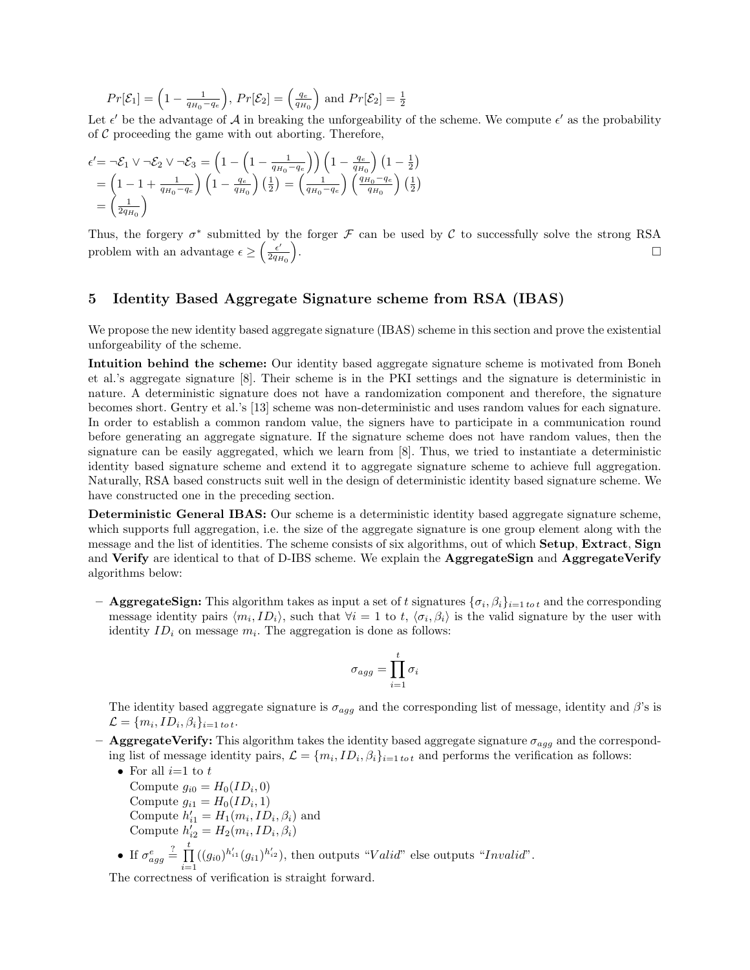$$
Pr[\mathcal{E}_1] = \left(1 - \frac{1}{q_{H_0} - q_e}\right), Pr[\mathcal{E}_2] = \left(\frac{q_e}{q_{H_0}}\right) \text{ and } Pr[\mathcal{E}_2] = \frac{1}{2}
$$

Let  $\epsilon'$  be the advantage of A in breaking the unforgeability of the scheme. We compute  $\epsilon'$  as the probability of  $C$  proceeding the game with out aborting. Therefore,

$$
\epsilon' = \neg \mathcal{E}_1 \vee \neg \mathcal{E}_2 \vee \neg \mathcal{E}_3 = \left(1 - \left(1 - \frac{1}{q_{H_0} - q_e}\right)\right) \left(1 - \frac{q_e}{q_{H_0}}\right) \left(1 - \frac{1}{2}\right)
$$
  
=  $\left(1 - 1 + \frac{1}{q_{H_0} - q_e}\right) \left(1 - \frac{q_e}{q_{H_0}}\right) \left(\frac{1}{2}\right) = \left(\frac{1}{q_{H_0} - q_e}\right) \left(\frac{q_{H_0} - q_e}{q_{H_0}}\right) \left(\frac{1}{2}\right)$   
=  $\left(\frac{1}{2q_{H_0}}\right)$ 

Thus, the forgery  $\sigma^*$  submitted by the forger  $\mathcal F$  can be used by C to successfully solve the strong RSA problem with an advantage  $\epsilon \geq \left(\frac{\epsilon'}{2q_E}\right)$  $2q_{H_0}$  $\overline{ }$ . The contract of the contract of the contract of the contract of the contract of the contract of the contract of the contract of the contract of the contract of the contract of the contract of the contract of the contrac

# 5 Identity Based Aggregate Signature scheme from RSA (IBAS)

We propose the new identity based aggregate signature (IBAS) scheme in this section and prove the existential unforgeability of the scheme.

Intuition behind the scheme: Our identity based aggregate signature scheme is motivated from Boneh et al.'s aggregate signature [8]. Their scheme is in the PKI settings and the signature is deterministic in nature. A deterministic signature does not have a randomization component and therefore, the signature becomes short. Gentry et al.'s [13] scheme was non-deterministic and uses random values for each signature. In order to establish a common random value, the signers have to participate in a communication round before generating an aggregate signature. If the signature scheme does not have random values, then the signature can be easily aggregated, which we learn from [8]. Thus, we tried to instantiate a deterministic identity based signature scheme and extend it to aggregate signature scheme to achieve full aggregation. Naturally, RSA based constructs suit well in the design of deterministic identity based signature scheme. We have constructed one in the preceding section.

Deterministic General IBAS: Our scheme is a deterministic identity based aggregate signature scheme, which supports full aggregation, i.e. the size of the aggregate signature is one group element along with the message and the list of identities. The scheme consists of six algorithms, out of which **Setup, Extract, Sign** and Verify are identical to that of D-IBS scheme. We explain the AggregateSign and AggregateVerify algorithms below:

– **AggregateSign:** This algorithm takes as input a set of t signatures  $\{\sigma_i, \beta_i\}_{i=1 \text{ to } t}$  and the corresponding message identity pairs  $\langle m_i, ID_i \rangle$ , such that  $\forall i = 1$  to t,  $\langle \sigma_i, \beta_i \rangle$  is the valid signature by the user with identity  $ID_i$  on message  $m_i$ . The aggregation is done as follows:

$$
\sigma_{agg} = \prod_{i=1}^{t} \sigma_i
$$

The identity based aggregate signature is  $\sigma_{agg}$  and the corresponding list of message, identity and  $\beta$ 's is  $\mathcal{L} = \{m_i, ID_i, \beta_i\}_{i=1 \text{ to } t}.$ 

– AggregateVerify: This algorithm takes the identity based aggregate signature  $\sigma_{agg}$  and the corresponding list of message identity pairs,  $\mathcal{L} = \{m_i, ID_i, \beta_i\}_{i=1 \text{ to } t}$  and performs the verification as follows:

• For all  $i=1$  to  $t$ Compute  $g_{i0} = H_0(ID_i, 0)$ Compute  $g_{i1} = H_0(ID_i, 1)$ Compute  $h'_{i1} = H_1(m_i, ID_i, \beta_i)$  and Compute  $h'_{i2} = H_2(m_i, ID_i, \beta_i)$ • If  $\sigma_{agg}^e$  $\stackrel{?}{=} \prod^t$  $\prod_{i=1} (g_{i0})^{h'_{i1}} (g_{i1})^{h'_{i2}}$ , then outputs "Valid" else outputs "Invalid".

The correctness of verification is straight forward.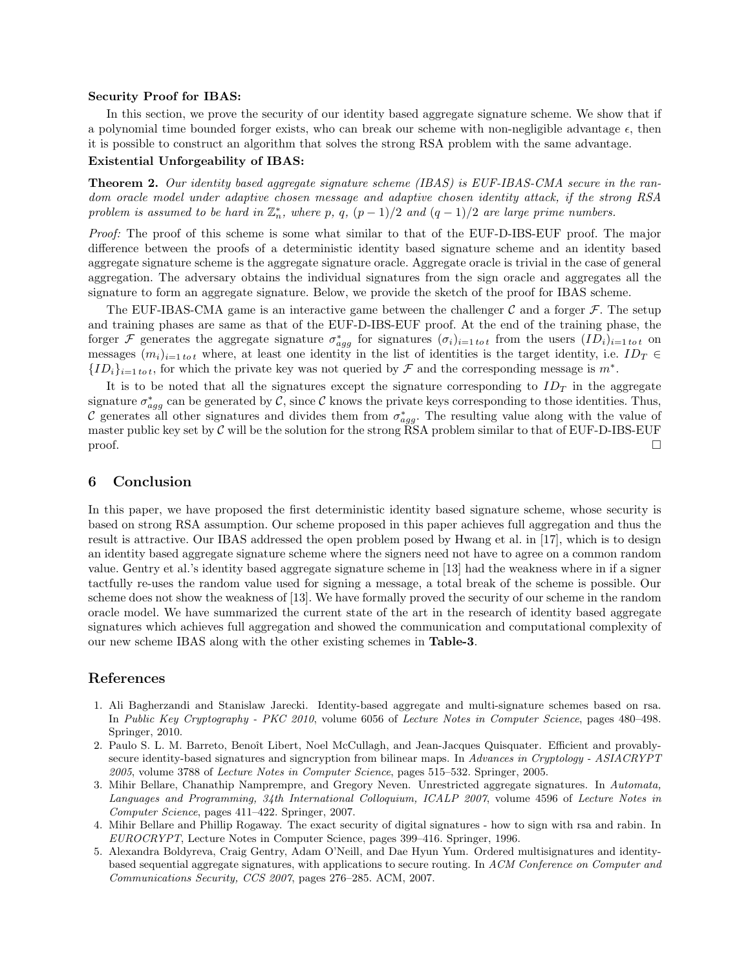#### Security Proof for IBAS:

In this section, we prove the security of our identity based aggregate signature scheme. We show that if a polynomial time bounded forger exists, who can break our scheme with non-negligible advantage  $\epsilon$ , then it is possible to construct an algorithm that solves the strong RSA problem with the same advantage.

## Existential Unforgeability of IBAS:

Theorem 2. *Our identity based aggregate signature scheme (IBAS) is EUF-IBAS-CMA secure in the random oracle model under adaptive chosen message and adaptive chosen identity attack, if the strong RSA problem is* assumed to be hard in  $\mathbb{Z}_n^*$ , where p, q,  $(p-1)/2$  and  $(q-1)/2$  are large prime numbers.

*Proof:* The proof of this scheme is some what similar to that of the EUF-D-IBS-EUF proof. The major difference between the proofs of a deterministic identity based signature scheme and an identity based aggregate signature scheme is the aggregate signature oracle. Aggregate oracle is trivial in the case of general aggregation. The adversary obtains the individual signatures from the sign oracle and aggregates all the signature to form an aggregate signature. Below, we provide the sketch of the proof for IBAS scheme.

The EUF-IBAS-CMA game is an interactive game between the challenger  $\mathcal C$  and a forger  $\mathcal F$ . The setup and training phases are same as that of the EUF-D-IBS-EUF proof. At the end of the training phase, the forger F generates the aggregate signature  $\sigma_{agg}^*$  for signatures  $(\sigma_i)_{i=1 \text{ to } t}$  from the users  $(ID_i)_{i=1 \text{ to } t}$  on messages  $(m_i)_{i=1 \text{ to } t}$  where, at least one identity in the list of identities is the target identity, i.e.  $ID_T \in$  ${ID_i}_{i=1 \text{ to } t}$ , for which the private key was not queried by F and the corresponding message is  $m^*$ .

It is to be noted that all the signatures except the signature corresponding to  $ID<sub>T</sub>$  in the aggregate signature  $\sigma_{agg}^*$  can be generated by C, since C knows the private keys corresponding to those identities. Thus, C generates all other signatures and divides them from  $\sigma_{agg}^*$ . The resulting value along with the value of master public key set by  $C$  will be the solution for the strong RSA problem similar to that of EUF-D-IBS-EUF proof.  $\Box$ 

# 6 Conclusion

In this paper, we have proposed the first deterministic identity based signature scheme, whose security is based on strong RSA assumption. Our scheme proposed in this paper achieves full aggregation and thus the result is attractive. Our IBAS addressed the open problem posed by Hwang et al. in [17], which is to design an identity based aggregate signature scheme where the signers need not have to agree on a common random value. Gentry et al.'s identity based aggregate signature scheme in [13] had the weakness where in if a signer tactfully re-uses the random value used for signing a message, a total break of the scheme is possible. Our scheme does not show the weakness of [13]. We have formally proved the security of our scheme in the random oracle model. We have summarized the current state of the art in the research of identity based aggregate signatures which achieves full aggregation and showed the communication and computational complexity of our new scheme IBAS along with the other existing schemes in Table-3.

## References

- 1. Ali Bagherzandi and Stanislaw Jarecki. Identity-based aggregate and multi-signature schemes based on rsa. In *Public Key Cryptography - PKC 2010*, volume 6056 of *Lecture Notes in Computer Science*, pages 480–498. Springer, 2010.
- 2. Paulo S. L. M. Barreto, Benoît Libert, Noel McCullagh, and Jean-Jacques Quisquater. Efficient and provablysecure identity-based signatures and signcryption from bilinear maps. In *Advances in Cryptology - ASIACRYPT 2005*, volume 3788 of *Lecture Notes in Computer Science*, pages 515–532. Springer, 2005.
- 3. Mihir Bellare, Chanathip Namprempre, and Gregory Neven. Unrestricted aggregate signatures. In *Automata, Languages and Programming, 34th International Colloquium, ICALP 2007*, volume 4596 of *Lecture Notes in Computer Science*, pages 411–422. Springer, 2007.
- 4. Mihir Bellare and Phillip Rogaway. The exact security of digital signatures how to sign with rsa and rabin. In *EUROCRYPT*, Lecture Notes in Computer Science, pages 399–416. Springer, 1996.
- 5. Alexandra Boldyreva, Craig Gentry, Adam O'Neill, and Dae Hyun Yum. Ordered multisignatures and identitybased sequential aggregate signatures, with applications to secure routing. In *ACM Conference on Computer and Communications Security, CCS 2007*, pages 276–285. ACM, 2007.